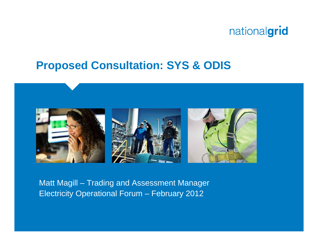

#### **Proposed Consultation: SYS & ODIS**



Matt Magill – Trading and Assessment Manager Electricity Operational Forum – February 2012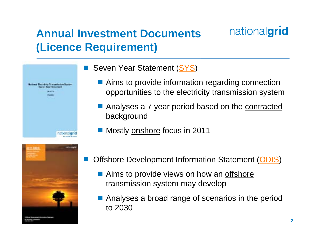## **Annual Investment Documents (Licence Requirement)**





#### ■ Seven Year Statement ([SYS](http://www.nationalgrid.com/uk/Electricity/SYS/))

- Aims to provide information regarding connection opportunities to the electricity transmission system
- Analyses a 7 year period based on the contracted background
- Mostly <u>onshore</u> focus in 2011
- Offshore Development Information Statement ([ODIS](http://www.nationalgrid.com/uk/Electricity/OffshoreTransmission/ODIS/))
	- Aims to provide views on how an offshore transmission system may develop
	- Analyses a broad range of **scenarios** in the period to 2030

nationalgrid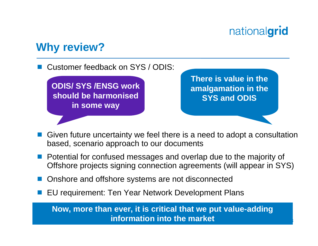# nationalgrid

**3**

#### **Why review?**

Customer feedback on SYS / ODIS:

**ODIS/ SYS /ENSG work should be harmonised in some way**

**There is value in the amalgamation in the SYS and ODIS**

- Given future uncertainty we feel there is a need to adopt a consultation based, scenario approach to our documents
- Potential for confused messages and overlap due to the majority of Offshore projects signing connection agreements (will appear in SYS)
- Onshore and offshore systems are not disconnected
- EU requirement: Ten Year Network Development Plans

**Now, more than ever, it is critical that we put value-adding information into the market**